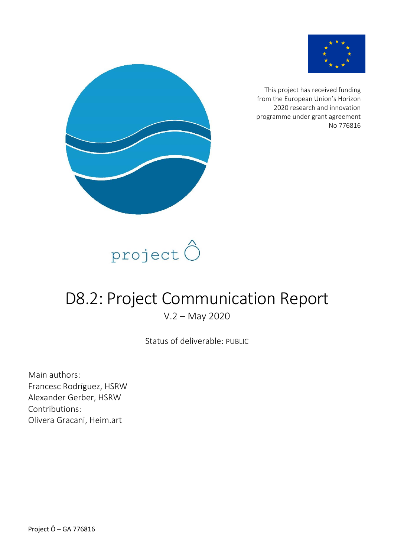

This project has received funding from the European Union's Horizon 2020 research and innovation programme under grant agreement No 776816





# D8.2: Project Communication Report V.2 – May 2020

Status of deliverable: PUBLIC

Main authors: Francesc Rodríguez, HSRW Alexander Gerber, HSRW Contributions: Olivera Gracani, Heim.art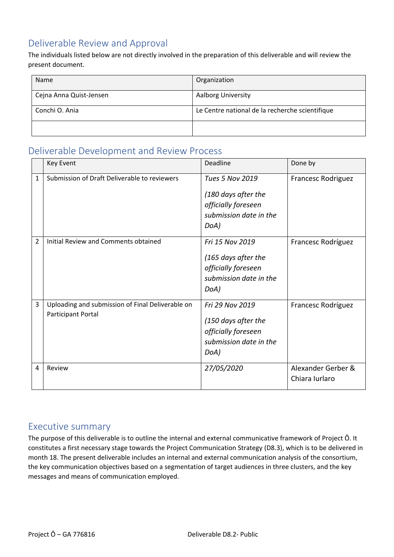### <span id="page-1-0"></span>Deliverable Review and Approval

The individuals listed below are not directly involved in the preparation of this deliverable and will review the present document.

| Name                    | Organization                                    |
|-------------------------|-------------------------------------------------|
| Cejna Anna Quist-Jensen | <b>Aalborg University</b>                       |
| Conchi O. Ania          | Le Centre national de la recherche scientifique |
|                         |                                                 |

### <span id="page-1-1"></span>Deliverable Development and Review Process

|                | Key Event                                                              | Deadline                                                                                               | Done by                              |
|----------------|------------------------------------------------------------------------|--------------------------------------------------------------------------------------------------------|--------------------------------------|
| 1              | Submission of Draft Deliverable to reviewers                           | <b>Tues 5 Nov 2019</b><br>(180 days after the<br>officially foreseen<br>submission date in the<br>DoA) | <b>Francesc Rodriguez</b>            |
| $\overline{2}$ | Initial Review and Comments obtained                                   | Fri 15 Nov 2019<br>(165 days after the<br>officially foreseen<br>submission date in the<br>DoA)        | Francesc Rodríguez                   |
| 3              | Uploading and submission of Final Deliverable on<br>Participant Portal | Fri 29 Nov 2019<br>(150 days after the<br>officially foreseen<br>submission date in the<br>DoA)        | Francesc Rodríguez                   |
| 4              | Review                                                                 | 27/05/2020                                                                                             | Alexander Gerber &<br>Chiara Iurlaro |

#### <span id="page-1-2"></span>Executive summary

The purpose of this deliverable is to outline the internal and external communicative framework of Project Ô. It constitutes a first necessary stage towards the Project Communication Strategy (D8.3), which is to be delivered in month 18. The present deliverable includes an internal and external communication analysis of the consortium, the key communication objectives based on a segmentation of target audiences in three clusters, and the key messages and means of communication employed.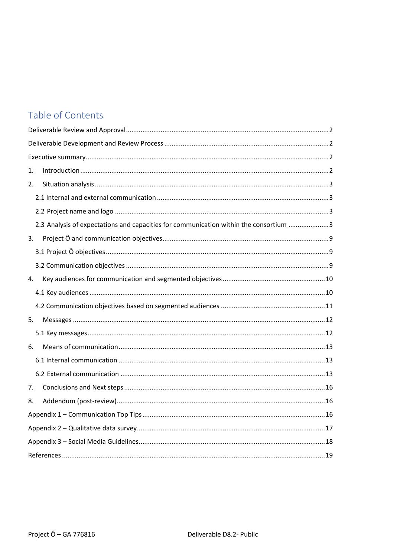# Table of Contents

| 1.                                                                                    |
|---------------------------------------------------------------------------------------|
| 2.                                                                                    |
|                                                                                       |
|                                                                                       |
| 2.3 Analysis of expectations and capacities for communication within the consortium 3 |
| 3.                                                                                    |
|                                                                                       |
|                                                                                       |
| 4.                                                                                    |
|                                                                                       |
|                                                                                       |
| 5.                                                                                    |
|                                                                                       |
| 6.                                                                                    |
|                                                                                       |
|                                                                                       |
| 7.                                                                                    |
| 8.                                                                                    |
|                                                                                       |
|                                                                                       |
|                                                                                       |
|                                                                                       |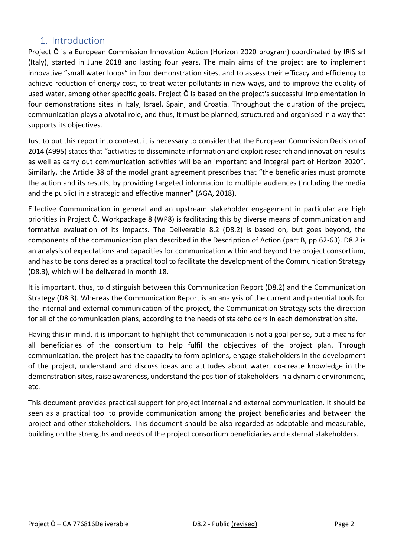### <span id="page-3-0"></span>1. Introduction

Project Ô is a European Commission Innovation Action (Horizon 2020 program) coordinated by IRIS srl (Italy), started in June 2018 and lasting four years. The main aims of the project are to implement innovative "small water loops" in four demonstration sites, and to assess their efficacy and efficiency to achieve reduction of energy cost, to treat water pollutants in new ways, and to improve the quality of used water, among other specific goals. Project Ô is based on the project's successful implementation in four demonstrations sites in Italy, Israel, Spain, and Croatia. Throughout the duration of the project, communication plays a pivotal role, and thus, it must be planned, structured and organised in a way that supports its objectives.

Just to put this report into context, it is necessary to consider that the European Commission Decision of 2014 (4995) states that "activities to disseminate information and exploit research and innovation results as well as carry out communication activities will be an important and integral part of Horizon 2020". Similarly, the Article 38 of the model grant agreement prescribes that "the beneficiaries must promote the action and its results, by providing targeted information to multiple audiences (including the media and the public) in a strategic and effective manner" (AGA, 2018).

Effective Communication in general and an upstream stakeholder engagement in particular are high priorities in Project Ô. Workpackage 8 (WP8) is facilitating this by diverse means of communication and formative evaluation of its impacts. The Deliverable 8.2 (D8.2) is based on, but goes beyond, the components of the communication plan described in the Description of Action (part B, pp.62-63). D8.2 is an analysis of expectations and capacities for communication within and beyond the project consortium, and has to be considered as a practical tool to facilitate the development of the Communication Strategy (D8.3), which will be delivered in month 18.

It is important, thus, to distinguish between this Communication Report (D8.2) and the Communication Strategy (D8.3). Whereas the Communication Report is an analysis of the current and potential tools for the internal and external communication of the project, the Communication Strategy sets the direction for all of the communication plans, according to the needs of stakeholders in each demonstration site.

Having this in mind, it is important to highlight that communication is not a goal per se, but a means for all beneficiaries of the consortium to help fulfil the objectives of the project plan. Through communication, the project has the capacity to form opinions, engage stakeholders in the development of the project, understand and discuss ideas and attitudes about water, co-create knowledge in the demonstration sites, raise awareness, understand the position of stakeholders in a dynamic environment, etc.

This document provides practical support for project internal and external communication. It should be seen as a practical tool to provide communication among the project beneficiaries and between the project and other stakeholders. This document should be also regarded as adaptable and measurable, building on the strengths and needs of the project consortium beneficiaries and external stakeholders.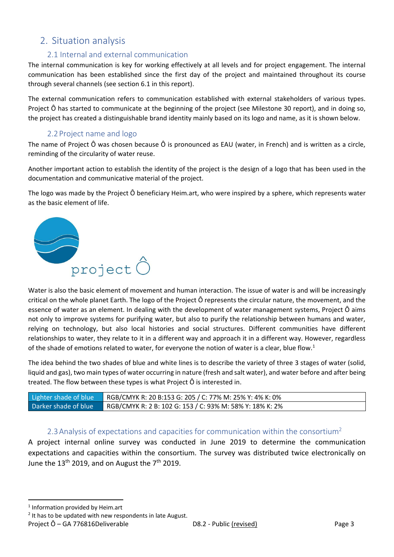### <span id="page-4-0"></span>2. Situation analysis

#### 2.1 Internal and external communication

<span id="page-4-1"></span>The internal communication is key for working effectively at all levels and for project engagement. The internal communication has been established since the first day of the project and maintained throughout its course through several channels (see section 6.1 in this report).

The external communication refers to communication established with external stakeholders of various types. Project Ô has started to communicate at the beginning of the project (see Milestone 30 report), and in doing so, the project has created a distinguishable brand identity mainly based on its logo and name, as it is shown below.

#### 2.2Project name and logo

<span id="page-4-2"></span>The name of Project Ô was chosen because Ô is pronounced as EAU (water, in French) and is written as a circle, reminding of the circularity of water reuse.

Another important action to establish the identity of the project is the design of a logo that has been used in the documentation and communicative material of the project.

The logo was made by the Project Ô beneficiary Heim.art, who were inspired by a sphere, which represents water as the basic element of life.



Water is also the basic element of movement and human interaction. The issue of water is and will be increasingly critical on the whole planet Earth. The logo of the Project Ô represents the circular nature, the movement, and the essence of water as an element. In dealing with the development of water management systems, Project Ô aims not only to improve systems for purifying water, but also to purify the relationship between humans and water, relying on technology, but also local histories and social structures. Different communities have different relationships to water, they relate to it in a different way and approach it in a different way. However, regardless of the shade of emotions related to water, for everyone the notion of water is a clear, blue flow.<sup>1</sup>

The idea behind the two shades of blue and white lines is to describe the variety of three 3 stages of water (solid, liquid and gas), two main types of water occurring in nature (fresh and salt water), and water before and after being treated. The flow between these types is what Project Ô is interested in.

| Lighter shade of blue | RGB/CMYK R: 20 B:153 G: 205 / C: 77% M: 25% Y: 4% K: 0%  |
|-----------------------|----------------------------------------------------------|
| Darker shade of blue  | RGB/CMYK R: 2 B: 102 G: 153 / C: 93% M: 58% Y: 18% K: 2% |

#### 2.3 Analysis of expectations and capacities for communication within the consortium<sup>2</sup>

<span id="page-4-3"></span>A project internal online survey was conducted in June 2019 to determine the communication expectations and capacities within the consortium. The survey was distributed twice electronically on June the  $13<sup>th</sup>$  2019, and on August the  $7<sup>th</sup>$  2019.

1 Information provided by Heim.art

 $2$  It has to be updated with new respondents in late August.

Project Ô – GA 776816Deliverable D8.2 - Public (revised) Page 3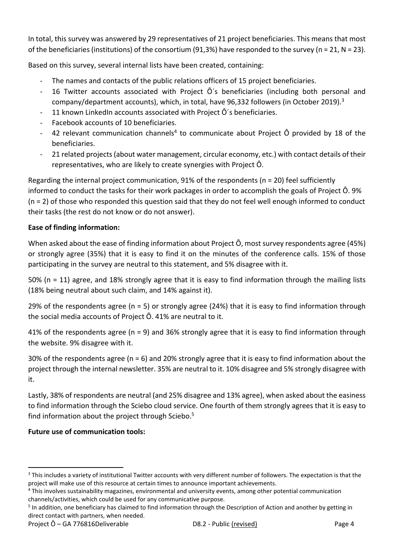In total, this survey was answered by 29 representatives of 21 project beneficiaries. This means that most of the beneficiaries (institutions) of the consortium (91,3%) have responded to the survey (n = 21, N = 23).

Based on this survey, several internal lists have been created, containing:

- The names and contacts of the public relations officers of 15 project beneficiaries.
- 16 Twitter accounts associated with Project Ô´s beneficiaries (including both personal and company/department accounts), which, in total, have 96,332 followers (in October 2019).<sup>3</sup>
- 11 known LinkedIn accounts associated with Project Ô's beneficiaries.
- Facebook accounts of 10 beneficiaries.
- 42 relevant communication channels<sup>4</sup> to communicate about Project  $\hat{O}$  provided by 18 of the beneficiaries.
- 21 related projects (about water management, circular economy, etc.) with contact details of their representatives, who are likely to create synergies with Project Ô.

Regarding the internal project communication, 91% of the respondents (n = 20) feel sufficiently informed to conduct the tasks for their work packages in order to accomplish the goals of Project Ô. 9% (n = 2) of those who responded this question said that they do not feel well enough informed to conduct their tasks (the rest do not know or do not answer).

#### **Ease of finding information:**

When asked about the ease of finding information about Project Ô, most survey respondents agree (45%) or strongly agree (35%) that it is easy to find it on the minutes of the conference calls. 15% of those participating in the survey are neutral to this statement, and 5% disagree with it.

50% (n = 11) agree, and 18% strongly agree that it is easy to find information through the mailing lists (18% being neutral about such claim, and 14% against it).

29% of the respondents agree (n = 5) or strongly agree (24%) that it is easy to find information through the social media accounts of Project Ô. 41% are neutral to it.

41% of the respondents agree (n = 9) and 36% strongly agree that it is easy to find information through the website. 9% disagree with it.

30% of the respondents agree (n = 6) and 20% strongly agree that it is easy to find information about the project through the internal newsletter. 35% are neutral to it. 10% disagree and 5% strongly disagree with it.

Lastly, 38% of respondents are neutral (and 25% disagree and 13% agree), when asked about the easiness to find information through the Sciebo cloud service. One fourth of them strongly agrees that it is easy to find information about the project through Sciebo.<sup>5</sup>

#### **Future use of communication tools:**

<sup>&</sup>lt;sup>3</sup> This includes a variety of institutional Twitter accounts with very different number of followers. The expectation is that the project will make use of this resource at certain times to announce important achievements.

<sup>&</sup>lt;sup>4</sup> This involves sustainability magazines, environmental and university events, among other potential communication channels/activities, which could be used for any communicative purpose.

<sup>&</sup>lt;sup>5</sup> In addition, one beneficiary has claimed to find information through the Description of Action and another by getting in direct contact with partners, when needed.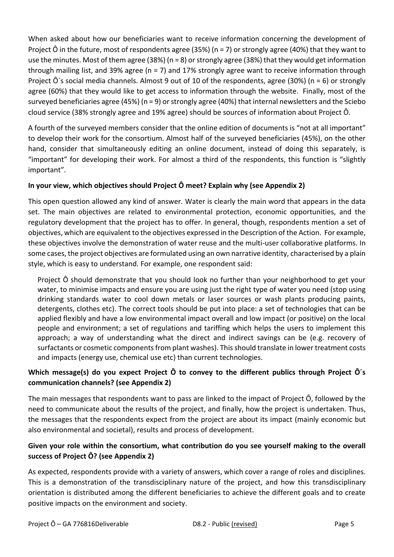When asked about how our beneficiaries want to receive information concerning the development of Project  $\hat{O}$  in the future, most of respondents agree (35%) (n = 7) or strongly agree (40%) that they want to use the minutes. Most of them agree (38%) (n = 8) or strongly agree (38%) that they would get information through mailing list, and 39% agree (n = 7) and 17% strongly agree want to receive information through Project  $\hat{O}$ 's social media channels. Almost 9 out of 10 of the respondents, agree (30%) (n = 6) or strongly agree (60%) that they would like to get access to information through the website. Finally, most of the surveyed beneficiaries agree (45%) (n = 9) or strongly agree (40%) that internal newsletters and the Sciebo cloud service (38% strongly agree and 19% agree) should be sources of information about Project Ô.

A fourth of the surveyed members consider that the online edition of documents is "not at all important" to develop their work for the consortium. Almost half of the surveyed beneficiaries (45%), on the other hand, consider that simultaneously editing an online document, instead of doing this separately, is "important" for developing their work. For almost a third of the respondents, this function is "slightly important".

#### **In your view, which objectives should Project Ô meet? Explain why (see Appendix 2)**

This open question allowed any kind of answer. Water is clearly the main word that appears in the data set. The main objectives are related to environmental protection, economic opportunities, and the regulatory development that the project has to offer. In general, though, respondents mention a set of objectives, which are equivalent to the objectives expressed in the Description of the Action. For example, these objectives involve the demonstration of water reuse and the multi-user collaborative platforms. In some cases, the project objectives are formulated using an own narrative identity, characterised by a plain style, which is easy to understand. For example, one respondent said:

Project Ô should demonstrate that you should look no further than your neighborhood to get your water, to minimise impacts and ensure you are using just the right type of water you need (stop using drinking standards water to cool down metals or laser sources or wash plants producing paints, detergents, clothes etc). The correct tools should be put into place: a set of technologies that can be applied flexibly and have a low environmental impact overall and low impact (or positive) on the local people and environment; a set of regulations and tariffing which helps the users to implement this approach; a way of understanding what the direct and indirect savings can be (e.g. recovery of surfactants or cosmetic components from plant washes). This should translate in lower treatment costs and impacts (energy use, chemical use etc) than current technologies.

#### **Which message(s) do you expect Project Ô to convey to the different publics through Project Ô´s communication channels? (see Appendix 2)**

The main messages that respondents want to pass are linked to the impact of Project Ô, followed by the need to communicate about the results of the project, and finally, how the project is undertaken. Thus, the messages that the respondents expect from the project are about its impact (mainly economic but also environmental and societal), results and process of development.

#### **Given your role within the consortium, what contribution do you see yourself making to the overall success of Project Ô? (see Appendix 2)**

As expected, respondents provide with a variety of answers, which cover a range of roles and disciplines. This is a demonstration of the transdisciplinary nature of the project, and how this transdisciplinary orientation is distributed among the different beneficiaries to achieve the different goals and to create positive impacts on the environment and society.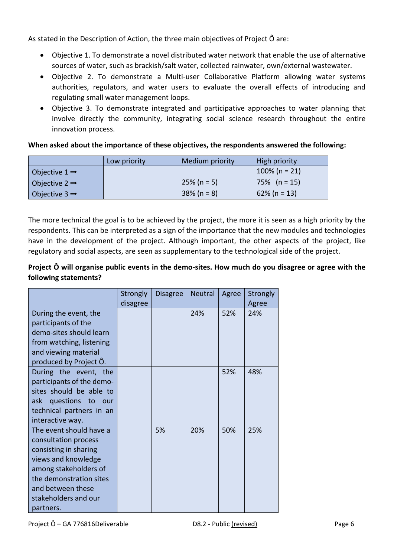As stated in the Description of Action, the three main objectives of Project Ô are:

- Objective 1. To demonstrate a novel distributed water network that enable the use of alternative sources of water, such as brackish/salt water, collected rainwater, own/external wastewater.
- Objective 2. To demonstrate a Multi-user Collaborative Platform allowing water systems authorities, regulators, and water users to evaluate the overall effects of introducing and regulating small water management loops.
- Objective 3. To demonstrate integrated and participative approaches to water planning that involve directly the community, integrating social science research throughout the entire innovation process.

#### **When asked about the importance of these objectives, the respondents answered the following:**

|                           | Low priority | Medium priority | High priority    |
|---------------------------|--------------|-----------------|------------------|
| Objective $1 \rightarrow$ |              |                 | $100\%$ (n = 21) |
| Objective $2 \rightarrow$ |              | $25\%$ (n = 5)  | $75\%$ (n = 15)  |
| Objective $3 \rightarrow$ |              | $38\%$ (n = 8)  | $62\%$ (n = 13)  |

The more technical the goal is to be achieved by the project, the more it is seen as a high priority by the respondents. This can be interpreted as a sign of the importance that the new modules and technologies have in the development of the project. Although important, the other aspects of the project, like regulatory and social aspects, are seen as supplementary to the technological side of the project.

#### **Project Ô will organise public events in the demo-sites. How much do you disagree or agree with the following statements?**

|                                                                                                                                                                                                               | Strongly<br>disagree | <b>Disagree</b> | <b>Neutral</b> | Agree | Strongly<br>Agree |
|---------------------------------------------------------------------------------------------------------------------------------------------------------------------------------------------------------------|----------------------|-----------------|----------------|-------|-------------------|
| During the event, the<br>participants of the<br>demo-sites should learn<br>from watching, listening<br>and viewing material<br>produced by Project O.                                                         |                      |                 | 24%            | 52%   | 24%               |
| During the event, the<br>participants of the demo-<br>sites should be able to<br>ask questions to our<br>technical partners in an<br>interactive way.                                                         |                      |                 |                | 52%   | 48%               |
| The event should have a<br>consultation process<br>consisting in sharing<br>views and knowledge<br>among stakeholders of<br>the demonstration sites<br>and between these<br>stakeholders and our<br>partners. |                      | 5%              | 20%            | 50%   | 25%               |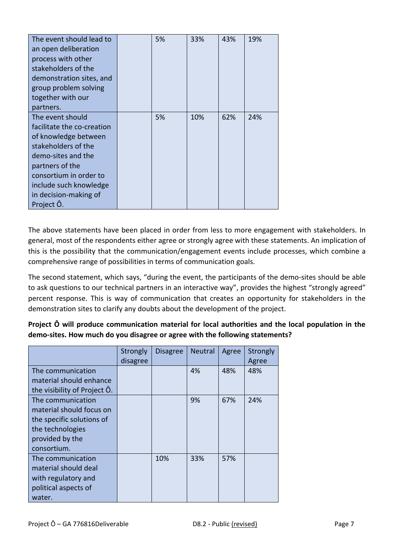| The event should lead to<br>an open deliberation<br>process with other<br>stakeholders of the<br>demonstration sites, and<br>group problem solving<br>together with our<br>partners.                                              | 5% | 33% | 43% | 19% |
|-----------------------------------------------------------------------------------------------------------------------------------------------------------------------------------------------------------------------------------|----|-----|-----|-----|
| The event should<br>facilitate the co-creation<br>of knowledge between<br>stakeholders of the<br>demo-sites and the<br>partners of the<br>consortium in order to<br>include such knowledge<br>in decision-making of<br>Project Ô. | 5% | 10% | 62% | 24% |

The above statements have been placed in order from less to more engagement with stakeholders. In general, most of the respondents either agree or strongly agree with these statements. An implication of this is the possibility that the communication/engagement events include processes, which combine a comprehensive range of possibilities in terms of communication goals.

The second statement, which says, "during the event, the participants of the demo-sites should be able to ask questions to our technical partners in an interactive way", provides the highest "strongly agreed" percent response. This is way of communication that creates an opportunity for stakeholders in the demonstration sites to clarify any doubts about the development of the project.

**Project Ô will produce communication material for local authorities and the local population in the demo-sites. How much do you disagree or agree with the following statements?**

|                                                                                                                                  | Strongly<br>disagree | <b>Disagree</b> | <b>Neutral</b> | Agree | Strongly<br>Agree |
|----------------------------------------------------------------------------------------------------------------------------------|----------------------|-----------------|----------------|-------|-------------------|
| The communication<br>material should enhance<br>the visibility of Project O.                                                     |                      |                 | 4%             | 48%   | 48%               |
| The communication<br>material should focus on<br>the specific solutions of<br>the technologies<br>provided by the<br>consortium. |                      |                 | 9%             | 67%   | 24%               |
| The communication<br>material should deal<br>with regulatory and<br>political aspects of<br>water.                               |                      | 10%             | 33%            | 57%   |                   |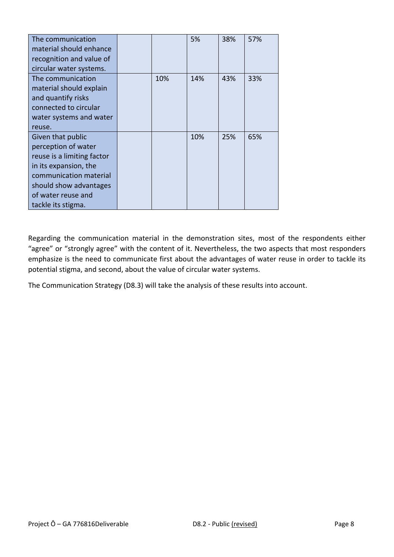| The communication          |     | 5%  | 38% | 57% |
|----------------------------|-----|-----|-----|-----|
| material should enhance    |     |     |     |     |
| recognition and value of   |     |     |     |     |
| circular water systems.    |     |     |     |     |
| The communication          | 10% | 14% | 43% | 33% |
| material should explain    |     |     |     |     |
| and quantify risks         |     |     |     |     |
| connected to circular      |     |     |     |     |
| water systems and water    |     |     |     |     |
| reuse.                     |     |     |     |     |
| Given that public          |     | 10% | 25% | 65% |
| perception of water        |     |     |     |     |
| reuse is a limiting factor |     |     |     |     |
| in its expansion, the      |     |     |     |     |
| communication material     |     |     |     |     |
| should show advantages     |     |     |     |     |
| of water reuse and         |     |     |     |     |
| tackle its stigma.         |     |     |     |     |

Regarding the communication material in the demonstration sites, most of the respondents either "agree" or "strongly agree" with the content of it. Nevertheless, the two aspects that most responders emphasize is the need to communicate first about the advantages of water reuse in order to tackle its potential stigma, and second, about the value of circular water systems.

The Communication Strategy (D8.3) will take the analysis of these results into account.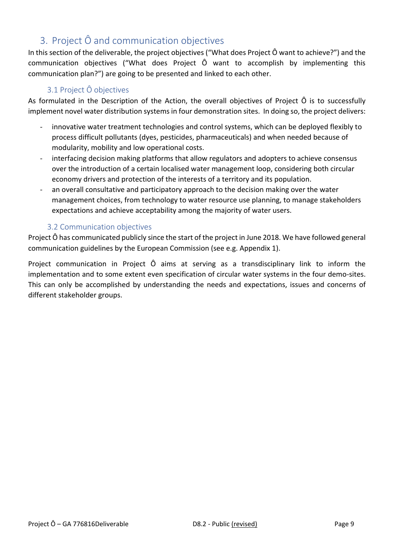# <span id="page-10-0"></span>3. Project Ô and communication objectives

In this section of the deliverable, the project objectives ("What does Project Ô want to achieve?") and the communication objectives ("What does Project Ô want to accomplish by implementing this communication plan?") are going to be presented and linked to each other.

#### 3.1 Project Ô objectives

<span id="page-10-1"></span>As formulated in the Description of the Action, the overall objectives of Project Ô is to successfully implement novel water distribution systems in four demonstration sites. In doing so, the project delivers:

- innovative water treatment technologies and control systems, which can be deployed flexibly to process difficult pollutants (dyes, pesticides, pharmaceuticals) and when needed because of modularity, mobility and low operational costs.
- interfacing decision making platforms that allow regulators and adopters to achieve consensus over the introduction of a certain localised water management loop, considering both circular economy drivers and protection of the interests of a territory and its population.
- an overall consultative and participatory approach to the decision making over the water management choices, from technology to water resource use planning, to manage stakeholders expectations and achieve acceptability among the majority of water users.

#### 3.2 Communication objectives

<span id="page-10-2"></span>Project Ô has communicated publicly since the start of the project in June 2018. We have followed general communication guidelines by the European Commission (see e.g. Appendix 1).

Project communication in Project Ô aims at serving as a transdisciplinary link to inform the implementation and to some extent even specification of circular water systems in the four demo-sites. This can only be accomplished by understanding the needs and expectations, issues and concerns of different stakeholder groups.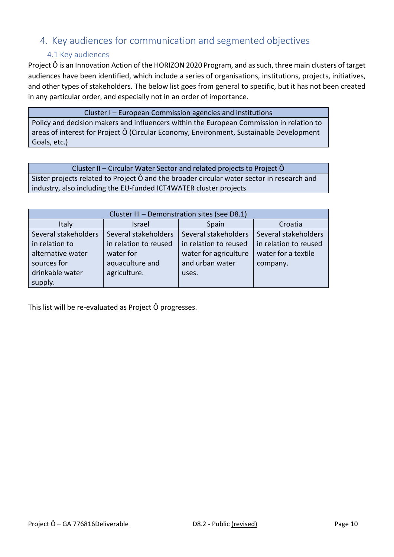### <span id="page-11-0"></span>4. Key audiences for communication and segmented objectives

#### 4.1 Key audiences

<span id="page-11-1"></span>Project Ô is an Innovation Action of the HORIZON 2020 Program, and as such, three main clusters of target audiences have been identified, which include a series of organisations, institutions, projects, initiatives, and other types of stakeholders. The below list goes from general to specific, but it has not been created in any particular order, and especially not in an order of importance.

Cluster I – European Commission agencies and institutions

Policy and decision makers and influencers within the European Commission in relation to areas of interest for Project Ô (Circular Economy, Environment, Sustainable Development Goals, etc.)

Cluster II – Circular Water Sector and related projects to Project Ô Sister projects related to Project Ô and the broader circular water sector in research and industry, also including the EU-funded ICT4WATER cluster projects

| Cluster III - Demonstration sites (see D8.1) |                       |                       |                       |  |
|----------------------------------------------|-----------------------|-----------------------|-----------------------|--|
| Italy                                        | Israel                | Spain                 | Croatia               |  |
| Several stakeholders                         | Several stakeholders  | Several stakeholders  | Several stakeholders  |  |
| in relation to                               | in relation to reused | in relation to reused | in relation to reused |  |
| alternative water                            | water for             | water for agriculture | water for a textile   |  |
| sources for                                  | aquaculture and       | and urban water       | company.              |  |
| drinkable water                              | agriculture.          | uses.                 |                       |  |
| supply.                                      |                       |                       |                       |  |

This list will be re-evaluated as Project Ô progresses.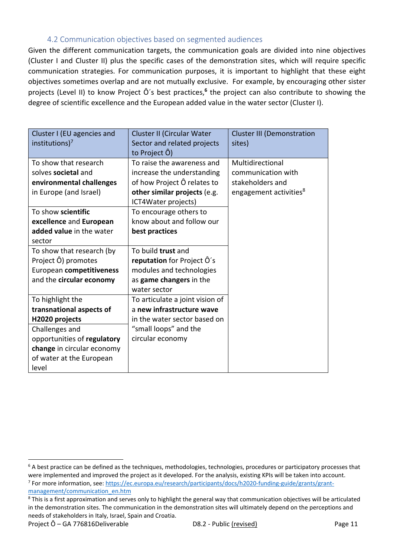#### 4.2 Communication objectives based on segmented audiences

<span id="page-12-0"></span>Given the different communication targets, the communication goals are divided into nine objectives (Cluster I and Cluster II) plus the specific cases of the demonstration sites, which will require specific communication strategies. For communication purposes, it is important to highlight that these eight objectives sometimes overlap and are not mutually exclusive. For example, by encouraging other sister projects (Level II) to know Project Ô's best practices,<sup>6</sup> the project can also contribute to showing the degree of scientific excellence and the European added value in the water sector (Cluster I).

| Cluster I (EU agencies and<br>institutions) <sup>7</sup>                                                                                                                           | Cluster II (Circular Water<br>Sector and related projects<br>to Project Ô)                                                                     | <b>Cluster III (Demonstration</b><br>sites)                                                      |
|------------------------------------------------------------------------------------------------------------------------------------------------------------------------------------|------------------------------------------------------------------------------------------------------------------------------------------------|--------------------------------------------------------------------------------------------------|
| To show that research<br>solves societal and<br>environmental challenges<br>in Europe (and Israel)                                                                                 | To raise the awareness and<br>increase the understanding<br>of how Project Ô relates to<br>other similar projects (e.g.<br>ICT4Water projects) | Multidirectional<br>communication with<br>stakeholders and<br>engagement activities <sup>8</sup> |
| To show scientific<br>excellence and European<br>added value in the water<br>sector                                                                                                | To encourage others to<br>know about and follow our<br>best practices                                                                          |                                                                                                  |
| To show that research (by<br>Project Ô) promotes<br>European competitiveness<br>and the circular economy                                                                           | To build trust and<br>reputation for Project O's<br>modules and technologies<br>as game changers in the<br>water sector                        |                                                                                                  |
| To highlight the<br>transnational aspects of<br>H2020 projects<br>Challenges and<br>opportunities of regulatory<br>change in circular economy<br>of water at the European<br>level | To articulate a joint vision of<br>a new infrastructure wave<br>in the water sector based on<br>"small loops" and the<br>circular economy      |                                                                                                  |

 $6$  A best practice can be defined as the techniques, methodologies, technologies, procedures or participatory processes that were implemented and improved the project as it developed. For the analysis, existing KPIs will be taken into account. <sup>7</sup> For more information, see: <u>https://ec.europa.eu/research/participants/docs/h2020-funding-guide/grants/grant-</u> [management/communication\\_en.htm](https://ec.europa.eu/research/participants/docs/h2020-funding-guide/grants/grant-management/communication_en.htm)

<sup>&</sup>lt;sup>8</sup> This is a first approximation and serves only to highlight the general way that communication objectives will be articulated in the demonstration sites. The communication in the demonstration sites will ultimately depend on the perceptions and needs of stakeholders in Italy, Israel, Spain and Croatia.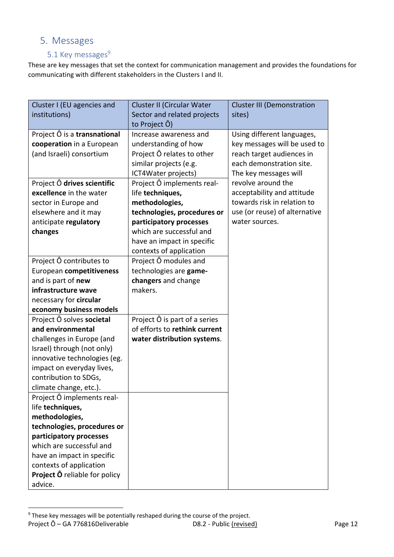## <span id="page-13-0"></span>5. Messages

### 5.1 Key messages<sup>9</sup>

<span id="page-13-1"></span>These are key messages that set the context for communication management and provides the foundations for communicating with different stakeholders in the Clusters I and II.

| Cluster I (EU agencies and           | Cluster II (Circular Water    | <b>Cluster III (Demonstration</b> |
|--------------------------------------|-------------------------------|-----------------------------------|
| institutions)                        | Sector and related projects   | sites)                            |
|                                      | to Project Ô)                 |                                   |
| Project $\hat{O}$ is a transnational | Increase awareness and        | Using different languages,        |
| cooperation in a European            | understanding of how          | key messages will be used to      |
| (and Israeli) consortium             | Project Ô relates to other    | reach target audiences in         |
|                                      | similar projects (e.g.        | each demonstration site.          |
|                                      | ICT4Water projects)           | The key messages will             |
| Project Ô drives scientific          | Project Ô implements real-    | revolve around the                |
| excellence in the water              | life techniques,              | acceptability and attitude        |
| sector in Europe and                 | methodologies,                | towards risk in relation to       |
| elsewhere and it may                 | technologies, procedures or   | use (or reuse) of alternative     |
| anticipate regulatory                | participatory processes       | water sources.                    |
| changes                              | which are successful and      |                                   |
|                                      | have an impact in specific    |                                   |
|                                      | contexts of application       |                                   |
| Project Ô contributes to             | Project Ô modules and         |                                   |
| European competitiveness             | technologies are game-        |                                   |
| and is part of new                   | changers and change           |                                   |
| infrastructure wave                  | makers.                       |                                   |
| necessary for circular               |                               |                                   |
| economy business models              |                               |                                   |
| Project Ô solves societal            | Project Ô is part of a series |                                   |
| and environmental                    | of efforts to rethink current |                                   |
| challenges in Europe (and            | water distribution systems.   |                                   |
| Israel) through (not only)           |                               |                                   |
| innovative technologies (eg.         |                               |                                   |
| impact on everyday lives,            |                               |                                   |
| contribution to SDGs,                |                               |                                   |
| climate change, etc.).               |                               |                                   |
| Project O implements real-           |                               |                                   |
| life techniques,                     |                               |                                   |
| methodologies,                       |                               |                                   |
| technologies, procedures or          |                               |                                   |
| participatory processes              |                               |                                   |
| which are successful and             |                               |                                   |
| have an impact in specific           |                               |                                   |
| contexts of application              |                               |                                   |
| <b>Project Ô</b> reliable for policy |                               |                                   |
| advice.                              |                               |                                   |

Project Ô – GA 776816Deliverable **D8.2** - Public (revised) Page 12 <sup>9</sup> These key messages will be potentially reshaped during the course of the project.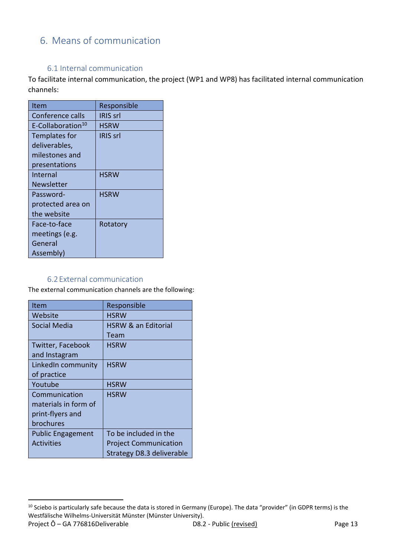# <span id="page-14-0"></span>6. Means of communication

#### 6.1 Internal communication

<span id="page-14-1"></span>To facilitate internal communication, the project (WP1 and WP8) has facilitated internal communication channels:

| Responsible     |
|-----------------|
| IRIS srl        |
| <b>HSRW</b>     |
| <b>IRIS</b> srl |
|                 |
|                 |
|                 |
| <b>HSRW</b>     |
|                 |
| <b>HSRW</b>     |
|                 |
|                 |
| Rotatory        |
|                 |
|                 |
|                 |
|                 |

#### 6.2External communication

<span id="page-14-2"></span>The external communication channels are the following:

| Item                     | Responsible                    |
|--------------------------|--------------------------------|
| Website                  | <b>HSRW</b>                    |
| <b>Social Media</b>      | <b>HSRW &amp; an Editorial</b> |
|                          | Team                           |
| Twitter, Facebook        | <b>HSRW</b>                    |
| and Instagram            |                                |
| LinkedIn community       | <b>HSRW</b>                    |
| of practice              |                                |
| Youtube                  | <b>HSRW</b>                    |
| Communication            | <b>HSRW</b>                    |
| materials in form of     |                                |
| print-flyers and         |                                |
| brochures                |                                |
| <b>Public Engagement</b> | To be included in the          |
| <b>Activities</b>        | <b>Project Communication</b>   |
|                          | Strategy D8.3 deliverable      |

Project Ô – GA 776816Deliverable D8.2 - Public (revised) Page 13 <sup>10</sup> Sciebo is particularly safe because the data is stored in Germany (Europe). The data "provider" (in GDPR terms) is the Westfälische Wilhelms-Universität Münster (Münster University).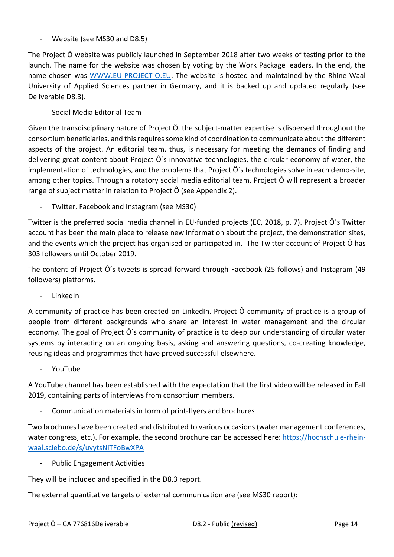- Website (see MS30 and D8.5)

The Project Ô website was publicly launched in September 2018 after two weeks of testing prior to the launch. The name for the website was chosen by voting by the Work Package leaders. In the end, the name chosen was [WWW.EU-PROJECT-O.EU.](http://www.eu-project-o.eu/) The website is hosted and maintained by the Rhine-Waal University of Applied Sciences partner in Germany, and it is backed up and updated regularly (see Deliverable D8.3).

- Social Media Editorial Team

Given the transdisciplinary nature of Project Ô, the subject-matter expertise is dispersed throughout the consortium beneficiaries, and this requires some kind of coordination to communicate about the different aspects of the project. An editorial team, thus, is necessary for meeting the demands of finding and delivering great content about Project Ô´s innovative technologies, the circular economy of water, the implementation of technologies, and the problems that Project Ô´s technologies solve in each demo-site, among other topics. Through a rotatory social media editorial team, Project Ô will represent a broader range of subject matter in relation to Project Ô (see Appendix 2).

Twitter, Facebook and Instagram (see MS30)

Twitter is the preferred social media channel in EU-funded projects (EC, 2018, p. 7). Project Ô´s Twitter account has been the main place to release new information about the project, the demonstration sites, and the events which the project has organised or participated in. The Twitter account of Project Ô has 303 followers until October 2019.

The content of Project Ô´s tweets is spread forward through Facebook (25 follows) and Instagram (49 followers) platforms.

- LinkedIn

A community of practice has been created on LinkedIn. Project Ô community of practice is a group of people from different backgrounds who share an interest in water management and the circular economy. The goal of Project Ô´s community of practice is to deep our understanding of circular water systems by interacting on an ongoing basis, asking and answering questions, co-creating knowledge, reusing ideas and programmes that have proved successful elsewhere.

- YouTube

A YouTube channel has been established with the expectation that the first video will be released in Fall 2019, containing parts of interviews from consortium members.

Communication materials in form of print-flyers and brochures

Two brochures have been created and distributed to various occasions (water management conferences, water congress, etc.). For example, the second brochure can be accessed here: [https://hochschule-rhein](https://hochschule-rhein-waal.sciebo.de/s/uyytsNiTFoBwXPA)[waal.sciebo.de/s/uyytsNiTFoBwXPA](https://hochschule-rhein-waal.sciebo.de/s/uyytsNiTFoBwXPA)

Public Engagement Activities

They will be included and specified in the D8.3 report.

The external quantitative targets of external communication are (see MS30 report):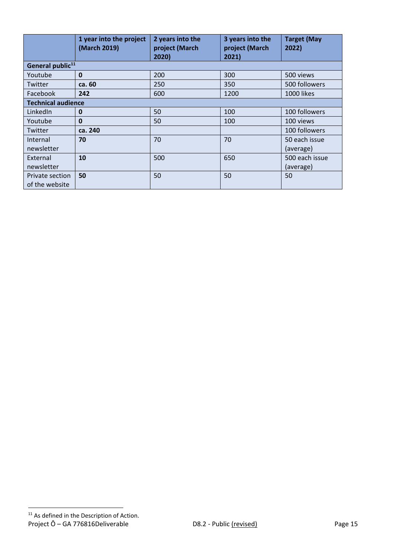|                           | 1 year into the project<br>(March 2019) | 2 years into the<br>project (March<br>2020) | 3 years into the<br>project (March<br>2021) | <b>Target (May</b><br>2022) |  |  |
|---------------------------|-----------------------------------------|---------------------------------------------|---------------------------------------------|-----------------------------|--|--|
|                           | General public <sup>11</sup>            |                                             |                                             |                             |  |  |
| Youtube                   | $\mathbf{0}$                            | 200                                         | 300                                         | 500 views                   |  |  |
| Twitter                   | ca. 60                                  | 250                                         | 350                                         | 500 followers               |  |  |
| Facebook                  | 242                                     | 600                                         | 1200                                        | 1000 likes                  |  |  |
| <b>Technical audience</b> |                                         |                                             |                                             |                             |  |  |
| LinkedIn                  | $\mathbf 0$                             | 50                                          | 100                                         | 100 followers               |  |  |
| Youtube                   | $\mathbf{0}$                            | 50                                          | 100                                         | 100 views                   |  |  |
| Twitter                   | ca. 240                                 |                                             |                                             | 100 followers               |  |  |
| Internal                  | 70                                      | 70                                          | 70                                          | 50 each issue               |  |  |
| newsletter                |                                         |                                             |                                             | (average)                   |  |  |
| External                  | 10                                      | 500                                         | 650                                         | 500 each issue              |  |  |
| newsletter                |                                         |                                             |                                             | (average)                   |  |  |
| Private section           | 50                                      | 50                                          | 50                                          | 50                          |  |  |
| of the website            |                                         |                                             |                                             |                             |  |  |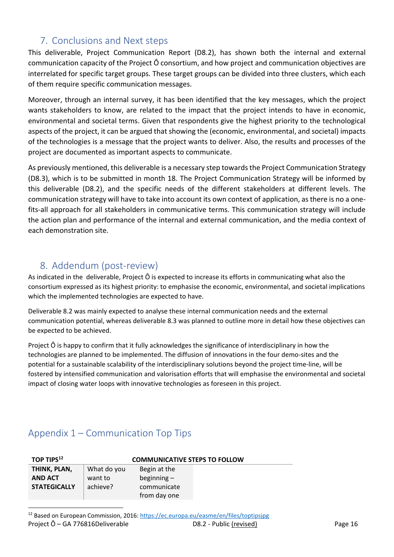### <span id="page-17-0"></span>7. Conclusions and Next steps

This deliverable, Project Communication Report (D8.2), has shown both the internal and external communication capacity of the Project Ô consortium, and how project and communication objectives are interrelated for specific target groups. These target groups can be divided into three clusters, which each of them require specific communication messages.

Moreover, through an internal survey, it has been identified that the key messages, which the project wants stakeholders to know, are related to the impact that the project intends to have in economic, environmental and societal terms. Given that respondents give the highest priority to the technological aspects of the project, it can be argued that showing the (economic, environmental, and societal) impacts of the technologies is a message that the project wants to deliver. Also, the results and processes of the project are documented as important aspects to communicate.

As previously mentioned, this deliverable is a necessary step towards the Project Communication Strategy (D8.3), which is to be submitted in month 18. The Project Communication Strategy will be informed by this deliverable (D8.2), and the specific needs of the different stakeholders at different levels. The communication strategy will have to take into account its own context of application, as there is no a onefits-all approach for all stakeholders in communicative terms. This communication strategy will include the action plan and performance of the internal and external communication, and the media context of each demonstration site.

# <span id="page-17-1"></span>8. Addendum (post-review)

As indicated in the deliverable, Project Ô is expected to increase its efforts in communicating what also the consortium expressed as its highest priority: to emphasise the economic, environmental, and societal implications which the implemented technologies are expected to have.

Deliverable 8.2 was mainly expected to analyse these internal communication needs and the external communication potential, whereas deliverable 8.3 was planned to outline more in detail how these objectives can be expected to be achieved.

Project Ô is happy to confirm that it fully acknowledges the significance of interdisciplinary in how the technologies are planned to be implemented. The diffusion of innovations in the four demo-sites and the potential for a sustainable scalability of the interdisciplinary solutions beyond the project time-line, will be fostered by intensified communication and valorisation efforts that will emphasise the environmental and societal impact of closing water loops with innovative technologies as foreseen in this project.

### <span id="page-17-2"></span>Appendix 1 – Communication Top Tips

| TOP TIPS $^{12}$    | <b>COMMUNICATIVE STEPS TO FOLLOW</b> |               |  |  |
|---------------------|--------------------------------------|---------------|--|--|
| THINK, PLAN,        | What do you                          | Begin at the  |  |  |
| <b>AND ACT</b>      | want to                              | beginning $-$ |  |  |
| <b>STATEGICALLY</b> | achieve?                             | communicate   |  |  |
|                     |                                      | from day one  |  |  |

Project Ô – GA 776816Deliverable  $D8.2$  - Public (revised) Page 16 <sup>12</sup> Based on European Commission, 2016[: https://ec.europa.eu/easme/en/files/toptipsjpg](https://ec.europa.eu/easme/en/files/toptipsjpg)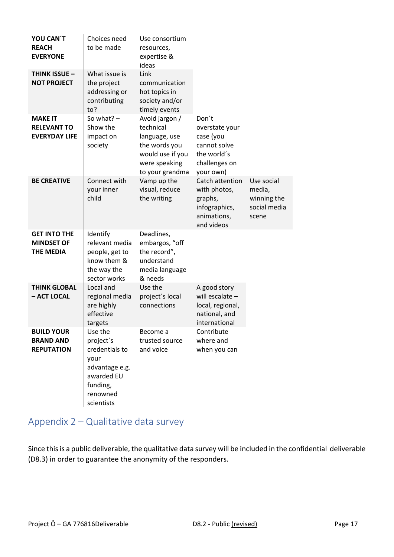| YOU CAN'T<br><b>REACH</b><br><b>EVERYONE</b>                 | Choices need<br>to be made                                                                                           | Use consortium<br>resources,<br>expertise &<br>ideas                                                                  |                                                                                                   |                                                              |
|--------------------------------------------------------------|----------------------------------------------------------------------------------------------------------------------|-----------------------------------------------------------------------------------------------------------------------|---------------------------------------------------------------------------------------------------|--------------------------------------------------------------|
| <b>THINK ISSUE -</b><br><b>NOT PROJECT</b>                   | What issue is<br>the project<br>addressing or<br>contributing<br>to?                                                 | Link<br>communication<br>hot topics in<br>society and/or<br>timely events                                             |                                                                                                   |                                                              |
| <b>MAKE IT</b><br><b>RELEVANT TO</b><br><b>EVERYDAY LIFE</b> | So what? $-$<br>Show the<br>impact on<br>society                                                                     | Avoid jargon /<br>technical<br>language, use<br>the words you<br>would use if you<br>were speaking<br>to your grandma | Don't<br>overstate your<br>case (you<br>cannot solve<br>the world's<br>challenges on<br>your own) |                                                              |
| <b>BE CREATIVE</b>                                           | Connect with<br>your inner<br>child                                                                                  | Vamp up the<br>visual, reduce<br>the writing                                                                          | Catch attention<br>with photos,<br>graphs,<br>infographics,<br>animations,<br>and videos          | Use social<br>media,<br>winning the<br>social media<br>scene |
| <b>GET INTO THE</b><br><b>MINDSET OF</b><br><b>THE MEDIA</b> | Identify<br>relevant media<br>people, get to<br>know them &<br>the way the<br>sector works                           | Deadlines,<br>embargos, "off<br>the record",<br>understand<br>media language<br>& needs                               |                                                                                                   |                                                              |
| <b>THINK GLOBAL</b><br>- ACT LOCAL                           | Local and<br>regional media<br>are highly<br>effective<br>targets                                                    | Use the<br>project's local<br>connections                                                                             | A good story<br>will escalate $-$<br>local, regional,<br>national, and<br>international           |                                                              |
| <b>BUILD YOUR</b><br><b>BRAND AND</b><br><b>REPUTATION</b>   | Use the<br>project's<br>credentials to<br>your<br>advantage e.g.<br>awarded EU<br>funding,<br>renowned<br>scientists | Become a<br>trusted source<br>and voice                                                                               | Contribute<br>where and<br>when you can                                                           |                                                              |

# <span id="page-18-0"></span>Appendix 2 – Qualitative data survey

Since this is a public deliverable, the qualitative data survey will be included in the confidential deliverable (D8.3) in order to guarantee the anonymity of the responders.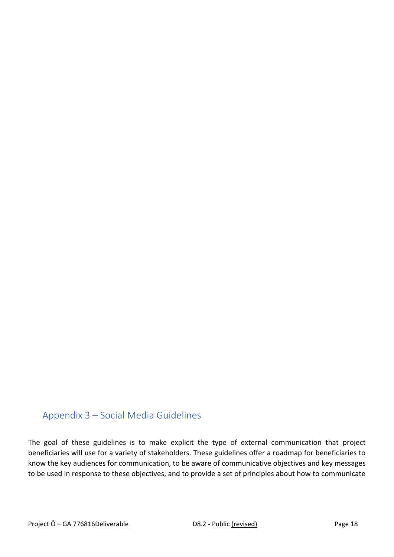# <span id="page-19-0"></span>Appendix 3 – Social Media Guidelines

The goal of these guidelines is to make explicit the type of external communication that project beneficiaries will use for a variety of stakeholders. These guidelines offer a roadmap for beneficiaries to know the key audiences for communication, to be aware of communicative objectives and key messages to be used in response to these objectives, and to provide a set of principles about how to communicate